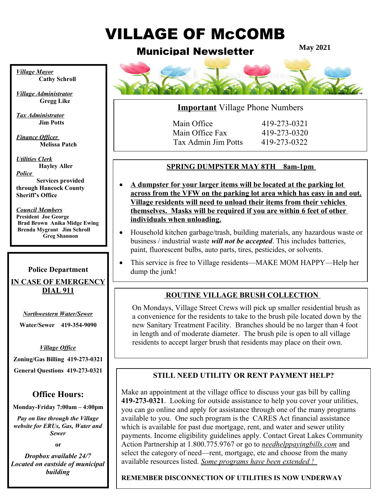# VILLAGE OF McCOMB

# Municipal Newsletter

**May 2021**



# **Important** Village Phone Numbers

Main Office 419-273-0321 Main Office Fax 419-273-0320 Tax Admin Jim Potts 419-273-0322

# **SPRING DUMPSTER MAY 8TH 8am-1pm**

- **A dumpster for your larger items will be located at the parking lot across from the VFW on the parking lot area which has easy in and out. Village residents will need to unload their items from their vehicles themselves. Masks will be required if you are within 6 feet of other individuals when unloading.**
- Household kitchen garbage/trash, building materials, any hazardous waste or business / industrial waste *will not be accepted*. This includes batteries, paint, fluorescent bulbs, auto parts, tires, pesticides, or solvents.
- This service is free to Village residents—MAKE MOM HAPPY—Help her dump the junk!

# **ROUTINE VILLAGE BRUSH COLLECTION**

On Mondays, Village Street Crews will pick up smaller residential brush as a convenience for the residents to take to the brush pile located down by the new Sanitary Treatment Facility. Branches should be no larger than 4 foot in length and of moderate diameter. The brush pile is open to all village residents to accept larger brush that residents may place on their own.

# **STILL NEED UTILITY OR RENT PAYMENT HELP?**

Make an appointment at the village office to discuss your gas bill by calling **419-273-0321**. Looking for outside assistance to help you cover your utilities, you can go online and apply for assistance through one of the many programs available to you. One such program is the CARES Act financial assistance which is available for past due mortgage, rent, and water and sewer utility payments. Income eligibility guidelines apply. Contact Great Lakes Community Action Partnership at 1.800.775.9767 or go to *needhelppayingbills.com* and select the category of need—rent, mortgage, etc and choose from the many available resources listed. *Some programs have been extended !* 

### **REMEMBER DISCONNECTION OF UTILITIES IS NOW UNDERWAY**

*Village Mayor* **Cathy Schroll**

*Village Administrator*  **Gregg Like**

*Tax Administrator* **Jim Potts**

*Finance Officer*   **Melissa Patch**

*Utilities Clerk* **Hayley Aller** *Police* 

**Services provided through Hancock County Sheriff's Office**

  **Brad Brown Anika Midge Ewing** *Council Members* **President Joe George Brenda Mygrant Jim Schroll Greg Shannon** 

# **Police Department**

**IN CASE OF EMERGENCY DIAL 911**

> $\overline{a}$ *Northwestern Water/Sewer*

**Water/Sewer 419-354-9090**

### *Village Office*

**Zoning/Gas Billing 419-273-0321**

**General Questions 419-273-0321**

# **Office Hours:**

**Monday-Friday 7:00am – 4:00pm**

*Pay on line through the Village website for ERUs, Gas, Water and Sewer*

**or**

*Dropbox available 24/7 Located on eastside of municipal building*